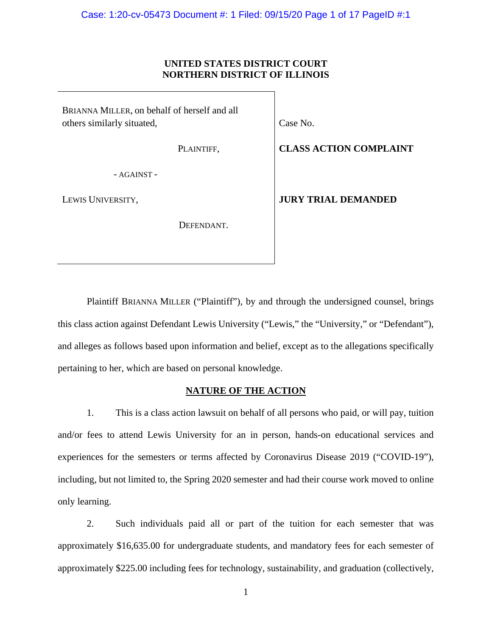## **UNITED STATES DISTRICT COURT NORTHERN DISTRICT OF ILLINOIS**

BRIANNA MILLER, on behalf of herself and all others similarly situated,

Case No.

PLAINTIFF,

**CLASS ACTION COMPLAINT**

- AGAINST -

LEWIS UNIVERSITY,

DEFENDANT.

**JURY TRIAL DEMANDED**

Plaintiff BRIANNA MILLER ("Plaintiff"), by and through the undersigned counsel, brings this class action against Defendant Lewis University ("Lewis," the "University," or "Defendant"), and alleges as follows based upon information and belief, except as to the allegations specifically pertaining to her, which are based on personal knowledge.

# **NATURE OF THE ACTION**

1. This is a class action lawsuit on behalf of all persons who paid, or will pay, tuition and/or fees to attend Lewis University for an in person, hands-on educational services and experiences for the semesters or terms affected by Coronavirus Disease 2019 ("COVID-19"), including, but not limited to, the Spring 2020 semester and had their course work moved to online only learning.

2. Such individuals paid all or part of the tuition for each semester that was approximately \$16,635.00 for undergraduate students, and mandatory fees for each semester of approximately \$225.00 including fees for technology, sustainability, and graduation (collectively,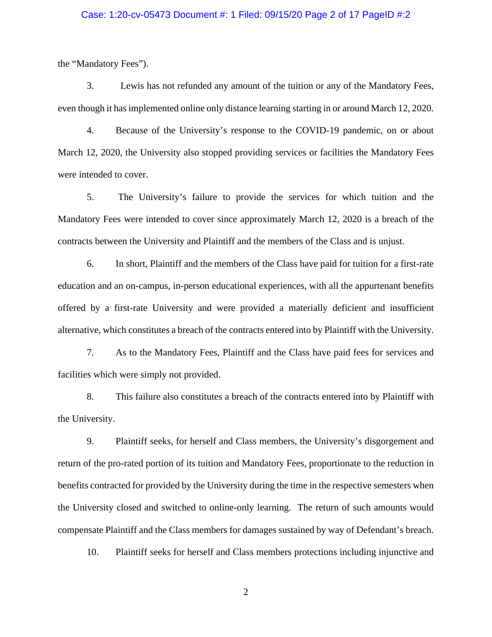### Case: 1:20-cv-05473 Document #: 1 Filed: 09/15/20 Page 2 of 17 PageID #:2

the "Mandatory Fees").

3. Lewis has not refunded any amount of the tuition or any of the Mandatory Fees, even though it has implemented online only distance learning starting in or around March 12, 2020.

4. Because of the University's response to the COVID-19 pandemic, on or about March 12, 2020, the University also stopped providing services or facilities the Mandatory Fees were intended to cover.

5. The University's failure to provide the services for which tuition and the Mandatory Fees were intended to cover since approximately March 12, 2020 is a breach of the contracts between the University and Plaintiff and the members of the Class and is unjust.

6. In short, Plaintiff and the members of the Class have paid for tuition for a first-rate education and an on-campus, in-person educational experiences, with all the appurtenant benefits offered by a first-rate University and were provided a materially deficient and insufficient alternative, which constitutes a breach of the contracts entered into by Plaintiff with the University.

7. As to the Mandatory Fees, Plaintiff and the Class have paid fees for services and facilities which were simply not provided.

8. This failure also constitutes a breach of the contracts entered into by Plaintiff with the University.

9. Plaintiff seeks, for herself and Class members, the University's disgorgement and return of the pro-rated portion of its tuition and Mandatory Fees, proportionate to the reduction in benefits contracted for provided by the University during the time in the respective semesters when the University closed and switched to online-only learning. The return of such amounts would compensate Plaintiff and the Class members for damages sustained by way of Defendant's breach.

10. Plaintiff seeks for herself and Class members protections including injunctive and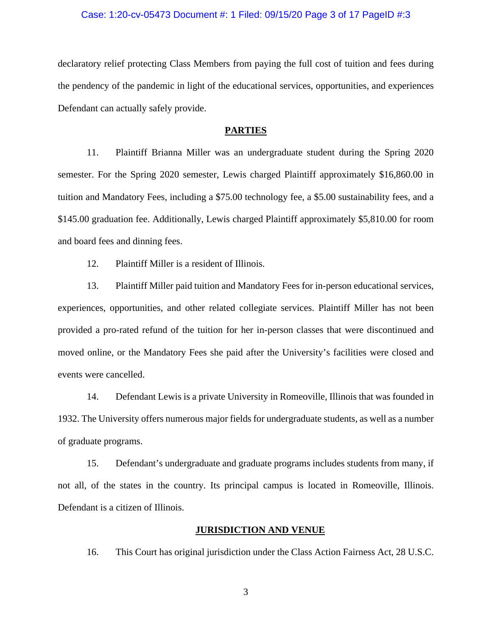### Case: 1:20-cv-05473 Document #: 1 Filed: 09/15/20 Page 3 of 17 PageID #:3

declaratory relief protecting Class Members from paying the full cost of tuition and fees during the pendency of the pandemic in light of the educational services, opportunities, and experiences Defendant can actually safely provide.

#### **PARTIES**

11. Plaintiff Brianna Miller was an undergraduate student during the Spring 2020 semester. For the Spring 2020 semester, Lewis charged Plaintiff approximately \$16,860.00 in tuition and Mandatory Fees, including a \$75.00 technology fee, a \$5.00 sustainability fees, and a \$145.00 graduation fee. Additionally, Lewis charged Plaintiff approximately \$5,810.00 for room and board fees and dinning fees.

12. Plaintiff Miller is a resident of Illinois.

13. Plaintiff Miller paid tuition and Mandatory Fees for in-person educational services, experiences, opportunities, and other related collegiate services. Plaintiff Miller has not been provided a pro-rated refund of the tuition for her in-person classes that were discontinued and moved online, or the Mandatory Fees she paid after the University's facilities were closed and events were cancelled.

14. Defendant Lewis is a private University in Romeoville, Illinois that was founded in 1932. The University offers numerous major fields for undergraduate students, as well as a number of graduate programs.

15. Defendant's undergraduate and graduate programs includes students from many, if not all, of the states in the country. Its principal campus is located in Romeoville, Illinois. Defendant is a citizen of Illinois.

### **JURISDICTION AND VENUE**

16. This Court has original jurisdiction under the Class Action Fairness Act, 28 U.S.C.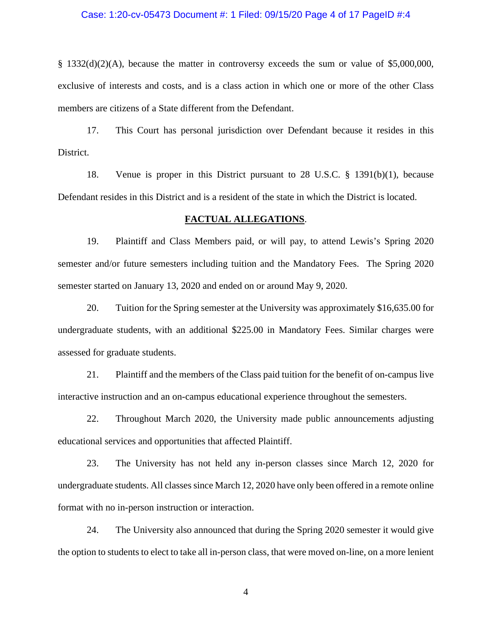### Case: 1:20-cv-05473 Document #: 1 Filed: 09/15/20 Page 4 of 17 PageID #:4

§ 1332(d)(2)(A), because the matter in controversy exceeds the sum or value of \$5,000,000, exclusive of interests and costs, and is a class action in which one or more of the other Class members are citizens of a State different from the Defendant.

17. This Court has personal jurisdiction over Defendant because it resides in this District.

18. Venue is proper in this District pursuant to 28 U.S.C. § 1391(b)(1), because Defendant resides in this District and is a resident of the state in which the District is located.

#### **FACTUAL ALLEGATIONS**.

19. Plaintiff and Class Members paid, or will pay, to attend Lewis's Spring 2020 semester and/or future semesters including tuition and the Mandatory Fees. The Spring 2020 semester started on January 13, 2020 and ended on or around May 9, 2020.

20. Tuition for the Spring semester at the University was approximately \$16,635.00 for undergraduate students, with an additional \$225.00 in Mandatory Fees. Similar charges were assessed for graduate students.

21. Plaintiff and the members of the Class paid tuition for the benefit of on-campus live interactive instruction and an on-campus educational experience throughout the semesters.

22. Throughout March 2020, the University made public announcements adjusting educational services and opportunities that affected Plaintiff.

23. The University has not held any in-person classes since March 12, 2020 for undergraduate students. All classes since March 12, 2020 have only been offered in a remote online format with no in-person instruction or interaction.

24. The University also announced that during the Spring 2020 semester it would give the option to students to elect to take all in-person class, that were moved on-line, on a more lenient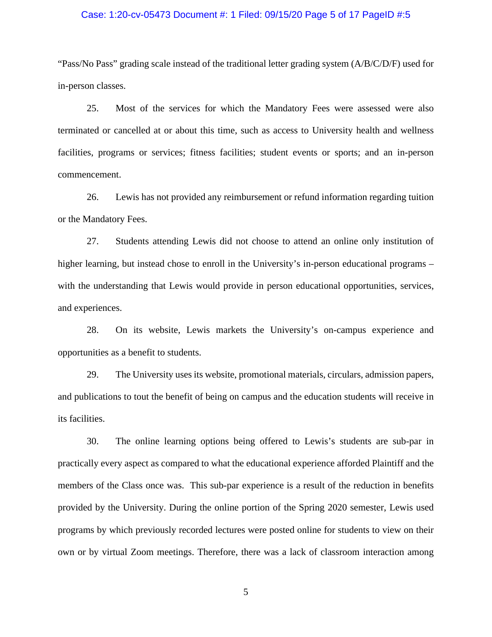### Case: 1:20-cv-05473 Document #: 1 Filed: 09/15/20 Page 5 of 17 PageID #:5

"Pass/No Pass" grading scale instead of the traditional letter grading system (A/B/C/D/F) used for in-person classes.

25. Most of the services for which the Mandatory Fees were assessed were also terminated or cancelled at or about this time, such as access to University health and wellness facilities, programs or services; fitness facilities; student events or sports; and an in-person commencement.

26. Lewis has not provided any reimbursement or refund information regarding tuition or the Mandatory Fees.

27. Students attending Lewis did not choose to attend an online only institution of higher learning, but instead chose to enroll in the University's in-person educational programs – with the understanding that Lewis would provide in person educational opportunities, services, and experiences.

28. On its website, Lewis markets the University's on-campus experience and opportunities as a benefit to students.

29. The University uses its website, promotional materials, circulars, admission papers, and publications to tout the benefit of being on campus and the education students will receive in its facilities.

30. The online learning options being offered to Lewis's students are sub-par in practically every aspect as compared to what the educational experience afforded Plaintiff and the members of the Class once was. This sub-par experience is a result of the reduction in benefits provided by the University. During the online portion of the Spring 2020 semester, Lewis used programs by which previously recorded lectures were posted online for students to view on their own or by virtual Zoom meetings. Therefore, there was a lack of classroom interaction among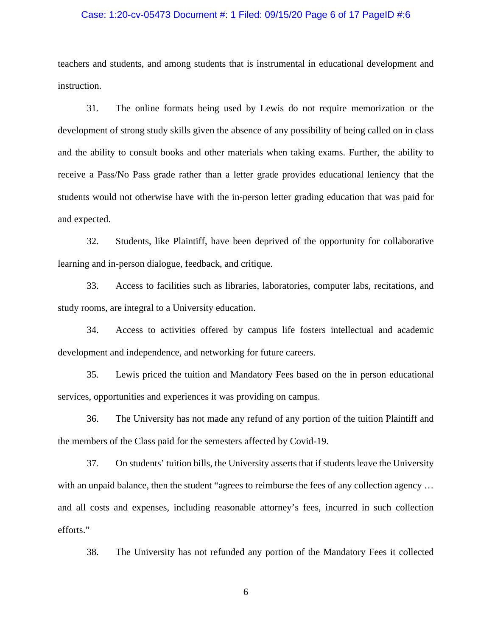### Case: 1:20-cv-05473 Document #: 1 Filed: 09/15/20 Page 6 of 17 PageID #:6

teachers and students, and among students that is instrumental in educational development and instruction.

31. The online formats being used by Lewis do not require memorization or the development of strong study skills given the absence of any possibility of being called on in class and the ability to consult books and other materials when taking exams. Further, the ability to receive a Pass/No Pass grade rather than a letter grade provides educational leniency that the students would not otherwise have with the in-person letter grading education that was paid for and expected.

32. Students, like Plaintiff, have been deprived of the opportunity for collaborative learning and in-person dialogue, feedback, and critique.

33. Access to facilities such as libraries, laboratories, computer labs, recitations, and study rooms, are integral to a University education.

34. Access to activities offered by campus life fosters intellectual and academic development and independence, and networking for future careers.

35. Lewis priced the tuition and Mandatory Fees based on the in person educational services, opportunities and experiences it was providing on campus.

36. The University has not made any refund of any portion of the tuition Plaintiff and the members of the Class paid for the semesters affected by Covid-19.

37. On students' tuition bills, the University asserts that if students leave the University with an unpaid balance, then the student "agrees to reimburse the fees of any collection agency ... and all costs and expenses, including reasonable attorney's fees, incurred in such collection efforts."

38. The University has not refunded any portion of the Mandatory Fees it collected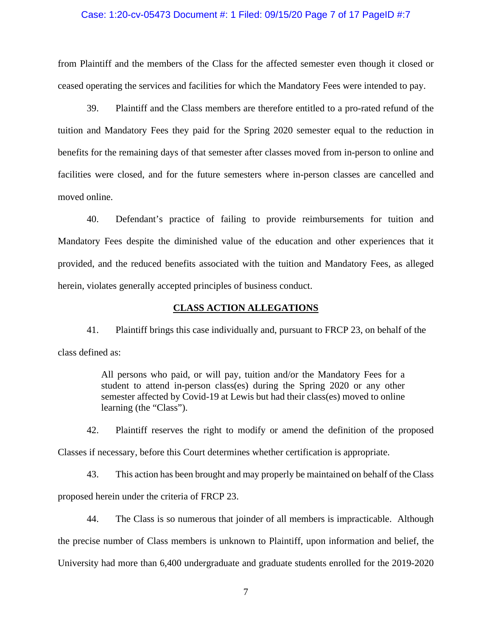### Case: 1:20-cv-05473 Document #: 1 Filed: 09/15/20 Page 7 of 17 PageID #:7

from Plaintiff and the members of the Class for the affected semester even though it closed or ceased operating the services and facilities for which the Mandatory Fees were intended to pay.

39. Plaintiff and the Class members are therefore entitled to a pro-rated refund of the tuition and Mandatory Fees they paid for the Spring 2020 semester equal to the reduction in benefits for the remaining days of that semester after classes moved from in-person to online and facilities were closed, and for the future semesters where in-person classes are cancelled and moved online.

40. Defendant's practice of failing to provide reimbursements for tuition and Mandatory Fees despite the diminished value of the education and other experiences that it provided, and the reduced benefits associated with the tuition and Mandatory Fees, as alleged herein, violates generally accepted principles of business conduct.

### **CLASS ACTION ALLEGATIONS**

41. Plaintiff brings this case individually and, pursuant to FRCP 23, on behalf of the class defined as:

> All persons who paid, or will pay, tuition and/or the Mandatory Fees for a student to attend in-person class(es) during the Spring 2020 or any other semester affected by Covid-19 at Lewis but had their class(es) moved to online learning (the "Class").

42. Plaintiff reserves the right to modify or amend the definition of the proposed Classes if necessary, before this Court determines whether certification is appropriate.

43. This action has been brought and may properly be maintained on behalf of the Class proposed herein under the criteria of FRCP 23.

44. The Class is so numerous that joinder of all members is impracticable. Although the precise number of Class members is unknown to Plaintiff, upon information and belief, the University had more than 6,400 undergraduate and graduate students enrolled for the 2019-2020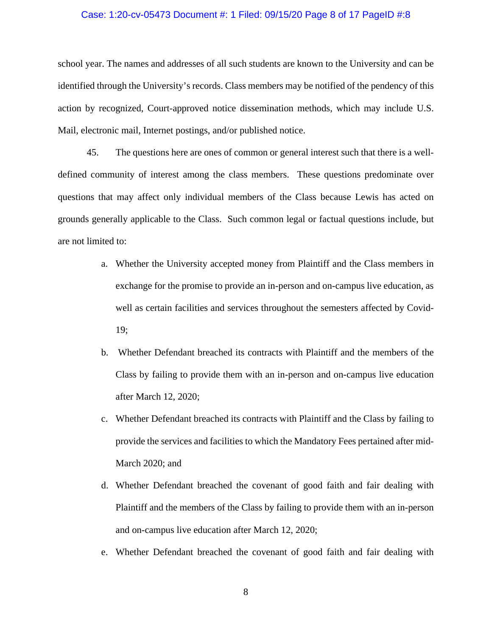### Case: 1:20-cv-05473 Document #: 1 Filed: 09/15/20 Page 8 of 17 PageID #:8

school year. The names and addresses of all such students are known to the University and can be identified through the University's records. Class members may be notified of the pendency of this action by recognized, Court-approved notice dissemination methods, which may include U.S. Mail, electronic mail, Internet postings, and/or published notice.

45. The questions here are ones of common or general interest such that there is a welldefined community of interest among the class members. These questions predominate over questions that may affect only individual members of the Class because Lewis has acted on grounds generally applicable to the Class. Such common legal or factual questions include, but are not limited to:

- a. Whether the University accepted money from Plaintiff and the Class members in exchange for the promise to provide an in-person and on-campus live education, as well as certain facilities and services throughout the semesters affected by Covid-19;
- b. Whether Defendant breached its contracts with Plaintiff and the members of the Class by failing to provide them with an in-person and on-campus live education after March 12, 2020;
- c. Whether Defendant breached its contracts with Plaintiff and the Class by failing to provide the services and facilities to which the Mandatory Fees pertained after mid-March 2020; and
- d. Whether Defendant breached the covenant of good faith and fair dealing with Plaintiff and the members of the Class by failing to provide them with an in-person and on-campus live education after March 12, 2020;
- e. Whether Defendant breached the covenant of good faith and fair dealing with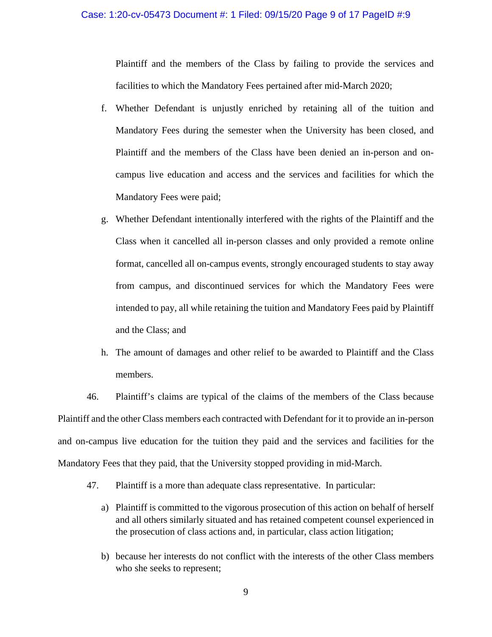## Case: 1:20-cv-05473 Document #: 1 Filed: 09/15/20 Page 9 of 17 PageID #:9

Plaintiff and the members of the Class by failing to provide the services and facilities to which the Mandatory Fees pertained after mid-March 2020;

- f. Whether Defendant is unjustly enriched by retaining all of the tuition and Mandatory Fees during the semester when the University has been closed, and Plaintiff and the members of the Class have been denied an in-person and oncampus live education and access and the services and facilities for which the Mandatory Fees were paid;
- g. Whether Defendant intentionally interfered with the rights of the Plaintiff and the Class when it cancelled all in-person classes and only provided a remote online format, cancelled all on-campus events, strongly encouraged students to stay away from campus, and discontinued services for which the Mandatory Fees were intended to pay, all while retaining the tuition and Mandatory Fees paid by Plaintiff and the Class; and
- h. The amount of damages and other relief to be awarded to Plaintiff and the Class members.

46. Plaintiff's claims are typical of the claims of the members of the Class because Plaintiff and the other Class members each contracted with Defendant for it to provide an in-person and on-campus live education for the tuition they paid and the services and facilities for the Mandatory Fees that they paid, that the University stopped providing in mid-March.

- 47. Plaintiff is a more than adequate class representative. In particular:
	- a) Plaintiff is committed to the vigorous prosecution of this action on behalf of herself and all others similarly situated and has retained competent counsel experienced in the prosecution of class actions and, in particular, class action litigation;
	- b) because her interests do not conflict with the interests of the other Class members who she seeks to represent;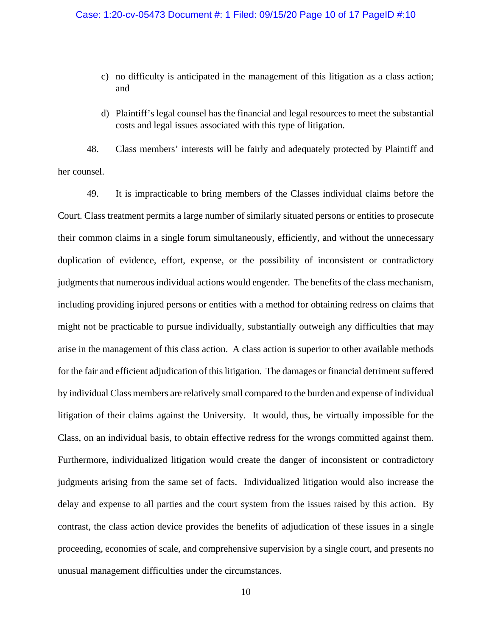- c) no difficulty is anticipated in the management of this litigation as a class action; and
- d) Plaintiff's legal counsel has the financial and legal resources to meet the substantial costs and legal issues associated with this type of litigation.

48. Class members' interests will be fairly and adequately protected by Plaintiff and her counsel.

49. It is impracticable to bring members of the Classes individual claims before the Court. Class treatment permits a large number of similarly situated persons or entities to prosecute their common claims in a single forum simultaneously, efficiently, and without the unnecessary duplication of evidence, effort, expense, or the possibility of inconsistent or contradictory judgments that numerous individual actions would engender. The benefits of the class mechanism, including providing injured persons or entities with a method for obtaining redress on claims that might not be practicable to pursue individually, substantially outweigh any difficulties that may arise in the management of this class action. A class action is superior to other available methods for the fair and efficient adjudication of this litigation. The damages or financial detriment suffered by individual Class members are relatively small compared to the burden and expense of individual litigation of their claims against the University. It would, thus, be virtually impossible for the Class, on an individual basis, to obtain effective redress for the wrongs committed against them. Furthermore, individualized litigation would create the danger of inconsistent or contradictory judgments arising from the same set of facts. Individualized litigation would also increase the delay and expense to all parties and the court system from the issues raised by this action. By contrast, the class action device provides the benefits of adjudication of these issues in a single proceeding, economies of scale, and comprehensive supervision by a single court, and presents no unusual management difficulties under the circumstances.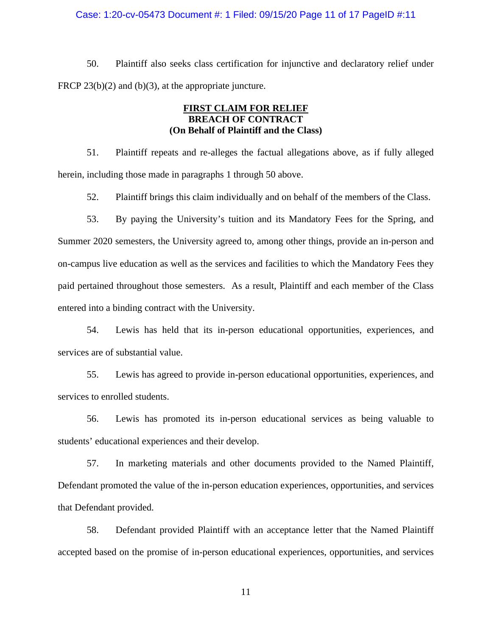### Case: 1:20-cv-05473 Document #: 1 Filed: 09/15/20 Page 11 of 17 PageID #:11

50. Plaintiff also seeks class certification for injunctive and declaratory relief under FRCP 23(b)(2) and (b)(3), at the appropriate juncture.

## **FIRST CLAIM FOR RELIEF BREACH OF CONTRACT (On Behalf of Plaintiff and the Class)**

51. Plaintiff repeats and re-alleges the factual allegations above, as if fully alleged herein, including those made in paragraphs 1 through 50 above.

52. Plaintiff brings this claim individually and on behalf of the members of the Class.

53. By paying the University's tuition and its Mandatory Fees for the Spring, and Summer 2020 semesters, the University agreed to, among other things, provide an in-person and on-campus live education as well as the services and facilities to which the Mandatory Fees they paid pertained throughout those semesters. As a result, Plaintiff and each member of the Class entered into a binding contract with the University.

54. Lewis has held that its in-person educational opportunities, experiences, and services are of substantial value.

55. Lewis has agreed to provide in-person educational opportunities, experiences, and services to enrolled students.

56. Lewis has promoted its in-person educational services as being valuable to students' educational experiences and their develop.

57. In marketing materials and other documents provided to the Named Plaintiff, Defendant promoted the value of the in-person education experiences, opportunities, and services that Defendant provided.

58. Defendant provided Plaintiff with an acceptance letter that the Named Plaintiff accepted based on the promise of in-person educational experiences, opportunities, and services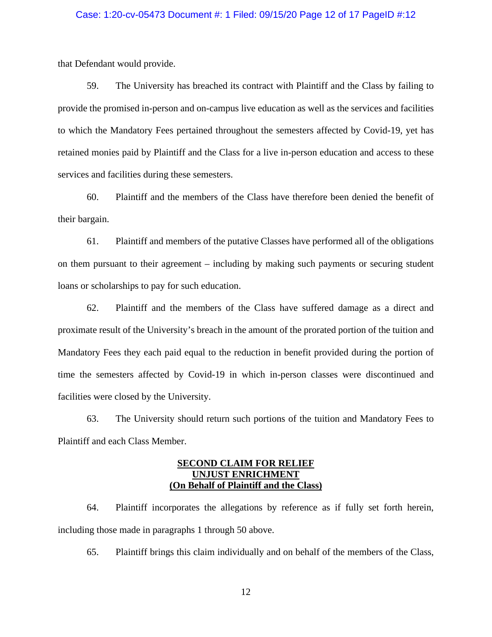### Case: 1:20-cv-05473 Document #: 1 Filed: 09/15/20 Page 12 of 17 PageID #:12

that Defendant would provide.

59. The University has breached its contract with Plaintiff and the Class by failing to provide the promised in-person and on-campus live education as well as the services and facilities to which the Mandatory Fees pertained throughout the semesters affected by Covid-19, yet has retained monies paid by Plaintiff and the Class for a live in-person education and access to these services and facilities during these semesters.

60. Plaintiff and the members of the Class have therefore been denied the benefit of their bargain.

61. Plaintiff and members of the putative Classes have performed all of the obligations on them pursuant to their agreement – including by making such payments or securing student loans or scholarships to pay for such education.

62. Plaintiff and the members of the Class have suffered damage as a direct and proximate result of the University's breach in the amount of the prorated portion of the tuition and Mandatory Fees they each paid equal to the reduction in benefit provided during the portion of time the semesters affected by Covid-19 in which in-person classes were discontinued and facilities were closed by the University.

63. The University should return such portions of the tuition and Mandatory Fees to Plaintiff and each Class Member.

# **SECOND CLAIM FOR RELIEF UNJUST ENRICHMENT (On Behalf of Plaintiff and the Class)**

64. Plaintiff incorporates the allegations by reference as if fully set forth herein, including those made in paragraphs 1 through 50 above.

65. Plaintiff brings this claim individually and on behalf of the members of the Class,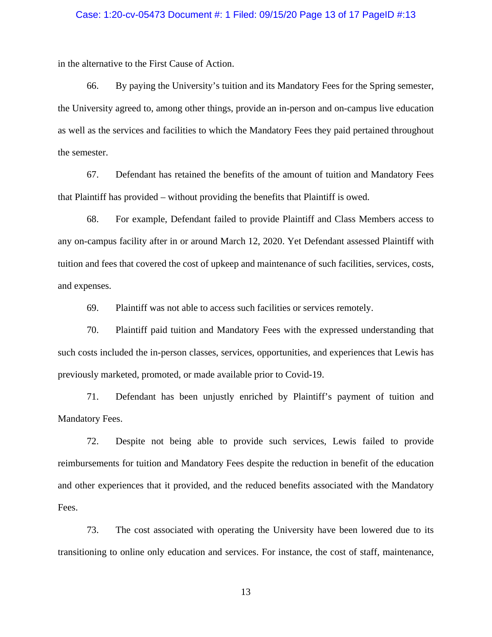### Case: 1:20-cv-05473 Document #: 1 Filed: 09/15/20 Page 13 of 17 PageID #:13

in the alternative to the First Cause of Action.

66. By paying the University's tuition and its Mandatory Fees for the Spring semester, the University agreed to, among other things, provide an in-person and on-campus live education as well as the services and facilities to which the Mandatory Fees they paid pertained throughout the semester.

67. Defendant has retained the benefits of the amount of tuition and Mandatory Fees that Plaintiff has provided – without providing the benefits that Plaintiff is owed.

68. For example, Defendant failed to provide Plaintiff and Class Members access to any on-campus facility after in or around March 12, 2020. Yet Defendant assessed Plaintiff with tuition and fees that covered the cost of upkeep and maintenance of such facilities, services, costs, and expenses.

69. Plaintiff was not able to access such facilities or services remotely.

70. Plaintiff paid tuition and Mandatory Fees with the expressed understanding that such costs included the in-person classes, services, opportunities, and experiences that Lewis has previously marketed, promoted, or made available prior to Covid-19.

71. Defendant has been unjustly enriched by Plaintiff's payment of tuition and Mandatory Fees.

72. Despite not being able to provide such services, Lewis failed to provide reimbursements for tuition and Mandatory Fees despite the reduction in benefit of the education and other experiences that it provided, and the reduced benefits associated with the Mandatory Fees.

73. The cost associated with operating the University have been lowered due to its transitioning to online only education and services. For instance, the cost of staff, maintenance,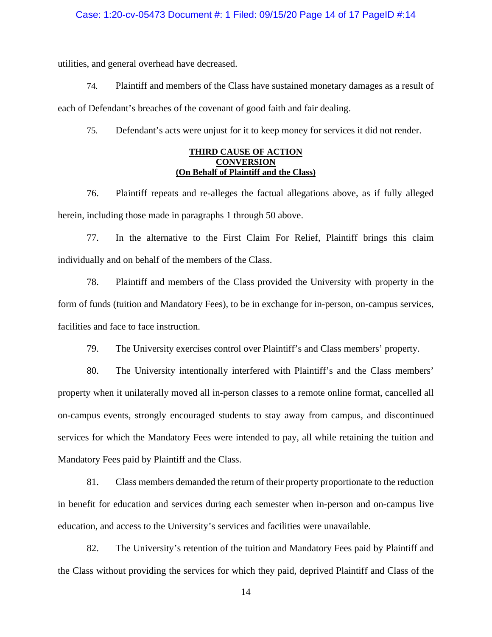#### Case: 1:20-cv-05473 Document #: 1 Filed: 09/15/20 Page 14 of 17 PageID #:14

utilities, and general overhead have decreased.

74. Plaintiff and members of the Class have sustained monetary damages as a result of each of Defendant's breaches of the covenant of good faith and fair dealing.

75. Defendant's acts were unjust for it to keep money for services it did not render.

### **THIRD CAUSE OF ACTION CONVERSION (On Behalf of Plaintiff and the Class)**

76. Plaintiff repeats and re-alleges the factual allegations above, as if fully alleged herein, including those made in paragraphs 1 through 50 above.

77. In the alternative to the First Claim For Relief, Plaintiff brings this claim individually and on behalf of the members of the Class.

78. Plaintiff and members of the Class provided the University with property in the form of funds (tuition and Mandatory Fees), to be in exchange for in-person, on-campus services, facilities and face to face instruction.

79. The University exercises control over Plaintiff's and Class members' property.

80. The University intentionally interfered with Plaintiff's and the Class members' property when it unilaterally moved all in-person classes to a remote online format, cancelled all on-campus events, strongly encouraged students to stay away from campus, and discontinued services for which the Mandatory Fees were intended to pay, all while retaining the tuition and Mandatory Fees paid by Plaintiff and the Class.

81. Class members demanded the return of their property proportionate to the reduction in benefit for education and services during each semester when in-person and on-campus live education, and access to the University's services and facilities were unavailable.

82. The University's retention of the tuition and Mandatory Fees paid by Plaintiff and the Class without providing the services for which they paid, deprived Plaintiff and Class of the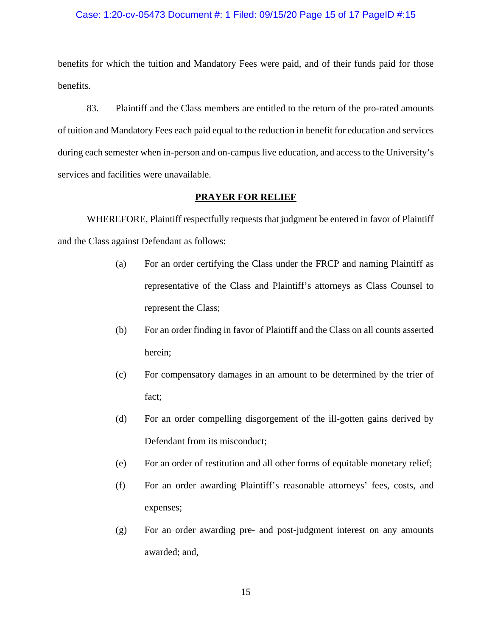#### Case: 1:20-cv-05473 Document #: 1 Filed: 09/15/20 Page 15 of 17 PageID #:15

benefits for which the tuition and Mandatory Fees were paid, and of their funds paid for those benefits.

83. Plaintiff and the Class members are entitled to the return of the pro-rated amounts of tuition and Mandatory Fees each paid equal to the reduction in benefit for education and services during each semester when in-person and on-campus live education, and access to the University's services and facilities were unavailable.

### **PRAYER FOR RELIEF**

WHEREFORE, Plaintiff respectfully requests that judgment be entered in favor of Plaintiff and the Class against Defendant as follows:

- (a) For an order certifying the Class under the FRCP and naming Plaintiff as representative of the Class and Plaintiff's attorneys as Class Counsel to represent the Class;
- (b) For an order finding in favor of Plaintiff and the Class on all counts asserted herein;
- (c) For compensatory damages in an amount to be determined by the trier of fact;
- (d) For an order compelling disgorgement of the ill-gotten gains derived by Defendant from its misconduct;
- (e) For an order of restitution and all other forms of equitable monetary relief;
- (f) For an order awarding Plaintiff's reasonable attorneys' fees, costs, and expenses;
- (g) For an order awarding pre- and post-judgment interest on any amounts awarded; and,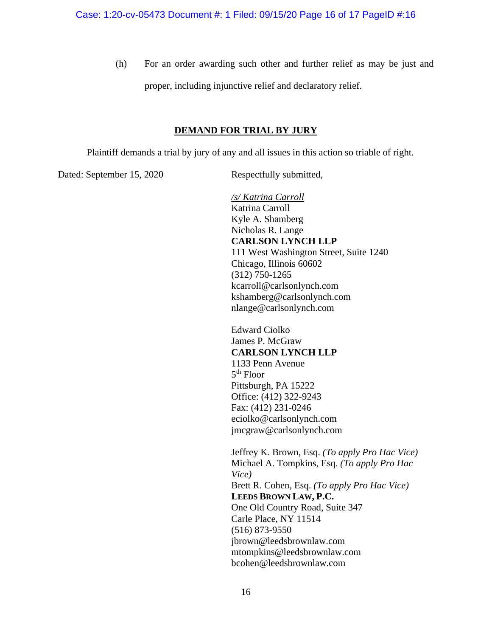(h) For an order awarding such other and further relief as may be just and proper, including injunctive relief and declaratory relief.

# **DEMAND FOR TRIAL BY JURY**

Plaintiff demands a trial by jury of any and all issues in this action so triable of right.

Dated: September 15, 2020 Respectfully submitted,

*/s/ Katrina Carroll* Katrina Carroll Kyle A. Shamberg Nicholas R. Lange **CARLSON LYNCH LLP** 111 West Washington Street, Suite 1240 Chicago, Illinois 60602 (312) 750-1265 kcarroll@carlsonlynch.com kshamberg@carlsonlynch.com nlange@carlsonlynch.com

Edward Ciolko James P. McGraw **CARLSON LYNCH LLP** 1133 Penn Avenue 5th Floor Pittsburgh, PA 15222 Office: (412) 322-9243 Fax: (412) 231-0246 eciolko@carlsonlynch.com jmcgraw@carlsonlynch.com

Jeffrey K. Brown, Esq. *(To apply Pro Hac Vice)* Michael A. Tompkins, Esq. *(To apply Pro Hac Vice)* Brett R. Cohen, Esq. *(To apply Pro Hac Vice)* **LEEDS BROWN LAW, P.C.** One Old Country Road, Suite 347 Carle Place, NY 11514 (516) 873-9550 jbrown@leedsbrownlaw.com mtompkins@leedsbrownlaw.com bcohen@leedsbrownlaw.com